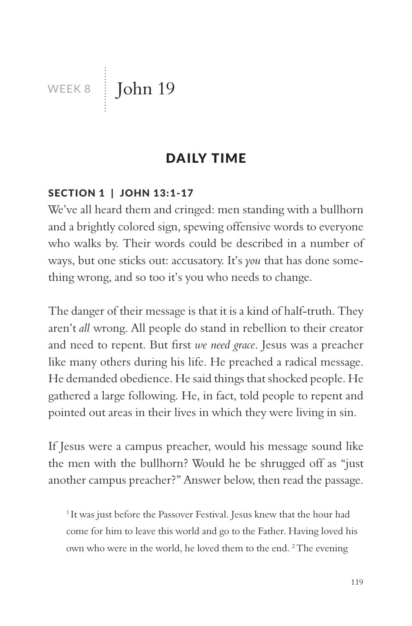WEEK 8 John 19

# DAILY TIME

### SECTION 1 | JOHN 13:1-17

We've all heard them and cringed: men standing with a bullhorn and a brightly colored sign, spewing offensive words to everyone who walks by. Their words could be described in a number of ways, but one sticks out: accusatory. It's *you* that has done something wrong, and so too it's you who needs to change.

The danger of their message is that it is a kind of half-truth. They aren't *all* wrong. All people do stand in rebellion to their creator and need to repent. But first *we need grace*. Jesus was a preacher like many others during his life. He preached a radical message. He demanded obedience. He said things that shocked people. He gathered a large following. He, in fact, told people to repent and pointed out areas in their lives in which they were living in sin.

If Jesus were a campus preacher, would his message sound like the men with the bullhorn? Would he be shrugged off as "just another campus preacher?" Answer below, then read the passage.

<sup>1</sup> It was just before the Passover Festival. Jesus knew that the hour had come for him to leave this world and go to the Father. Having loved his own who were in the world, he loved them to the end. <sup>2</sup> The evening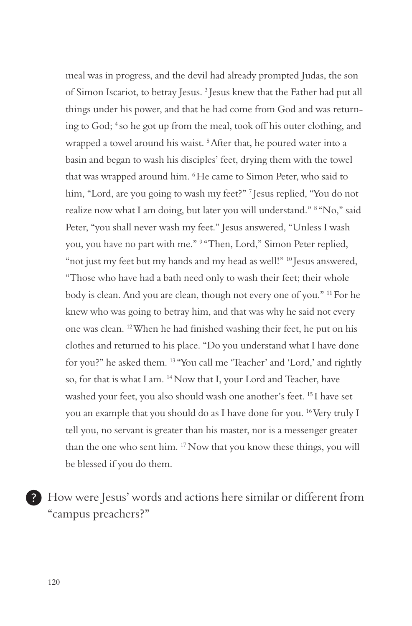meal was in progress, and the devil had already prompted Judas, the son of Simon Iscariot, to betray Jesus. 3 Jesus knew that the Father had put all things under his power, and that he had come from God and was returning to God; 4 so he got up from the meal, took off his outer clothing, and wrapped a towel around his waist.<sup>5</sup> After that, he poured water into a basin and began to wash his disciples' feet, drying them with the towel that was wrapped around him. 6 He came to Simon Peter, who said to him, "Lord, are you going to wash my feet?" <sup>7</sup> Jesus replied, "You do not realize now what I am doing, but later you will understand." 8 "No," said Peter, "you shall never wash my feet." Jesus answered, "Unless I wash you, you have no part with me." <sup>9 "</sup>Then, Lord," Simon Peter replied, "not just my feet but my hands and my head as well!" <sup>10</sup> Jesus answered, "Those who have had a bath need only to wash their feet; their whole body is clean. And you are clean, though not every one of you." 11 For he knew who was going to betray him, and that was why he said not every one was clean. 12 When he had finished washing their feet, he put on his clothes and returned to his place. "Do you understand what I have done for you?" he asked them. 13 "You call me 'Teacher' and 'Lord,' and rightly so, for that is what I am. 14 Now that I, your Lord and Teacher, have washed your feet, you also should wash one another's feet. 15 I have set you an example that you should do as I have done for you. 16 Very truly I tell you, no servant is greater than his master, nor is a messenger greater than the one who sent him. 17 Now that you know these things, you will be blessed if you do them.

How were Jesus' words and actions here similar or different from "campus preachers?"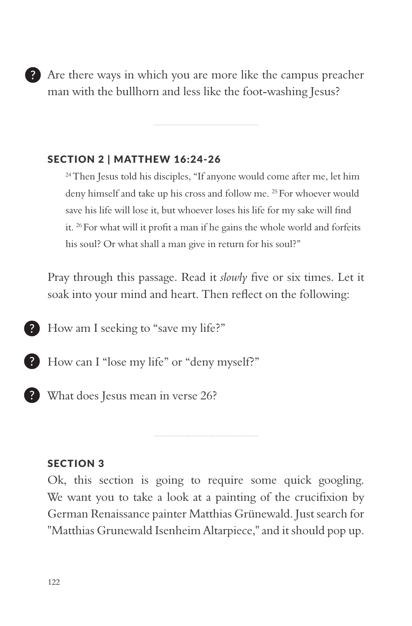Are there ways in which you are more like the campus preacher man with the bullhorn and less like the foot-washing Jesus?

### SECTION 2 | MATTHEW 16:24-26

<sup>24</sup> Then Jesus told his disciples, "If anyone would come after me, let him deny himself and take up his cross and follow me. 25 For whoever would save his life will lose it, but whoever loses his life for my sake will find it. 26 For what will it profit a man if he gains the whole world and forfeits his soul? Or what shall a man give in return for his soul?"

Pray through this passage. Read it *slowly* five or six times. Let it soak into your mind and heart. Then reflect on the following:

How am I seeking to "save my life?"

How can I "lose my life" or "deny myself?"

**P** What does Jesus mean in verse 26?

#### SECTION 3

Ok, this section is going to require some quick googling. We want you to take a look at a painting of the crucifixion by German Renaissance painter Matthias Grünewald. Just search for "Matthias Grunewald Isenheim Altarpiece," and it should pop up.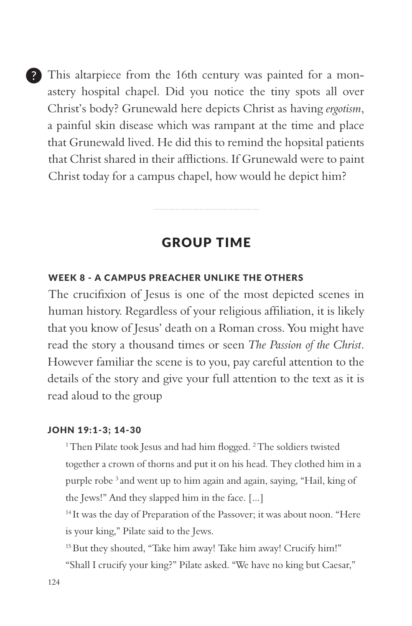This altarpiece from the 16th century was painted for a monastery hospital chapel. Did you notice the tiny spots all over Christ's body? Grunewald here depicts Christ as having *ergotism*, a painful skin disease which was rampant at the time and place that Grunewald lived. He did this to remind the hopsital patients that Christ shared in their afflictions. If Grunewald were to paint Christ today for a campus chapel, how would he depict him?

### GROUP TIME

#### WEEK 8 - A CAMPUS PREACHER UNLIKE THE OTHERS

The crucifixion of Jesus is one of the most depicted scenes in human history. Regardless of your religious affiliation, it is likely that you know of Jesus' death on a Roman cross. You might have read the story a thousand times or seen *The Passion of the Christ*. However familiar the scene is to you, pay careful attention to the details of the story and give your full attention to the text as it is read aloud to the group

#### JOHN 19:1-3; 14-30

<sup>1</sup> Then Pilate took Jesus and had him flogged. <sup>2</sup> The soldiers twisted together a crown of thorns and put it on his head. They clothed him in a purple robe 3 and went up to him again and again, saying, "Hail, king of the Jews!" And they slapped him in the face. [...]

<sup>14</sup> It was the day of Preparation of the Passover; it was about noon. "Here is your king," Pilate said to the Jews.

15 But they shouted, "Take him away! Take him away! Crucify him!"

"Shall I crucify your king?" Pilate asked. "We have no king but Caesar,"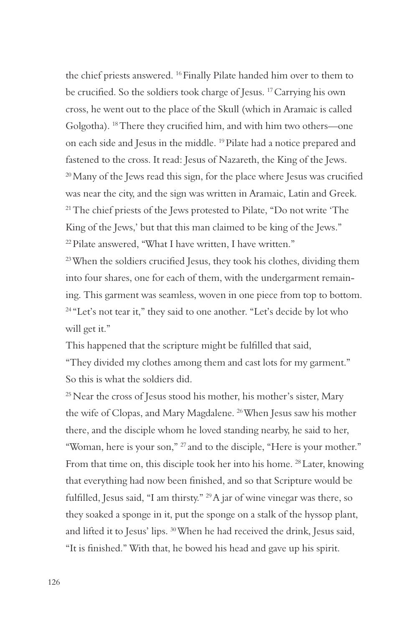the chief priests answered. 16 Finally Pilate handed him over to them to be crucified. So the soldiers took charge of Jesus. 17 Carrying his own cross, he went out to the place of the Skull (which in Aramaic is called Golgotha). 18 There they crucified him, and with him two others—one on each side and Jesus in the middle. 19 Pilate had a notice prepared and fastened to the cross. It read: Jesus of Nazareth, the King of the Jews. <sup>20</sup> Many of the Jews read this sign, for the place where Jesus was crucified was near the city, and the sign was written in Aramaic, Latin and Greek. <sup>21</sup> The chief priests of the Jews protested to Pilate, "Do not write 'The King of the Jews,' but that this man claimed to be king of the Jews." 22 Pilate answered, "What I have written, I have written."  $23$  When the soldiers crucified Jesus, they took his clothes, dividing them

into four shares, one for each of them, with the undergarment remaining. This garment was seamless, woven in one piece from top to bottom. <sup>24</sup> "Let's not tear it," they said to one another. "Let's decide by lot who will get it."

This happened that the scripture might be fulfilled that said, "They divided my clothes among them and cast lots for my garment." So this is what the soldiers did.

<sup>25</sup> Near the cross of Jesus stood his mother, his mother's sister, Mary the wife of Clopas, and Mary Magdalene. 26 When Jesus saw his mother there, and the disciple whom he loved standing nearby, he said to her, "Woman, here is your son," 27 and to the disciple, "Here is your mother." From that time on, this disciple took her into his home. <sup>28</sup> Later, knowing that everything had now been finished, and so that Scripture would be fulfilled, Jesus said, "I am thirsty." 29 A jar of wine vinegar was there, so they soaked a sponge in it, put the sponge on a stalk of the hyssop plant, and lifted it to Jesus' lips. 30 When he had received the drink, Jesus said, "It is finished." With that, he bowed his head and gave up his spirit.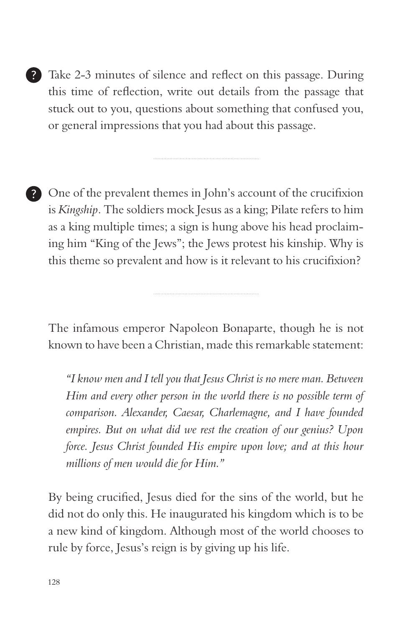- Take 2-3 minutes of silence and reflect on this passage. During this time of reflection, write out details from the passage that stuck out to you, questions about something that confused you, or general impressions that you had about this passage.
- One of the prevalent themes in John's account of the crucifixion is *Kingship*. The soldiers mock Jesus as a king; Pilate refers to him as a king multiple times; a sign is hung above his head proclaiming him "King of the Jews"; the Jews protest his kinship. Why is this theme so prevalent and how is it relevant to his crucifixion?

The infamous emperor Napoleon Bonaparte, though he is not known to have been a Christian, made this remarkable statement:

*"I know men and I tell you that Jesus Christ is no mere man. Between Him and every other person in the world there is no possible term of comparison. Alexander, Caesar, Charlemagne, and I have founded empires. But on what did we rest the creation of our genius? Upon force. Jesus Christ founded His empire upon love; and at this hour millions of men would die for Him."*

By being crucified, Jesus died for the sins of the world, but he did not do only this. He inaugurated his kingdom which is to be a new kind of kingdom. Although most of the world chooses to rule by force, Jesus's reign is by giving up his life.